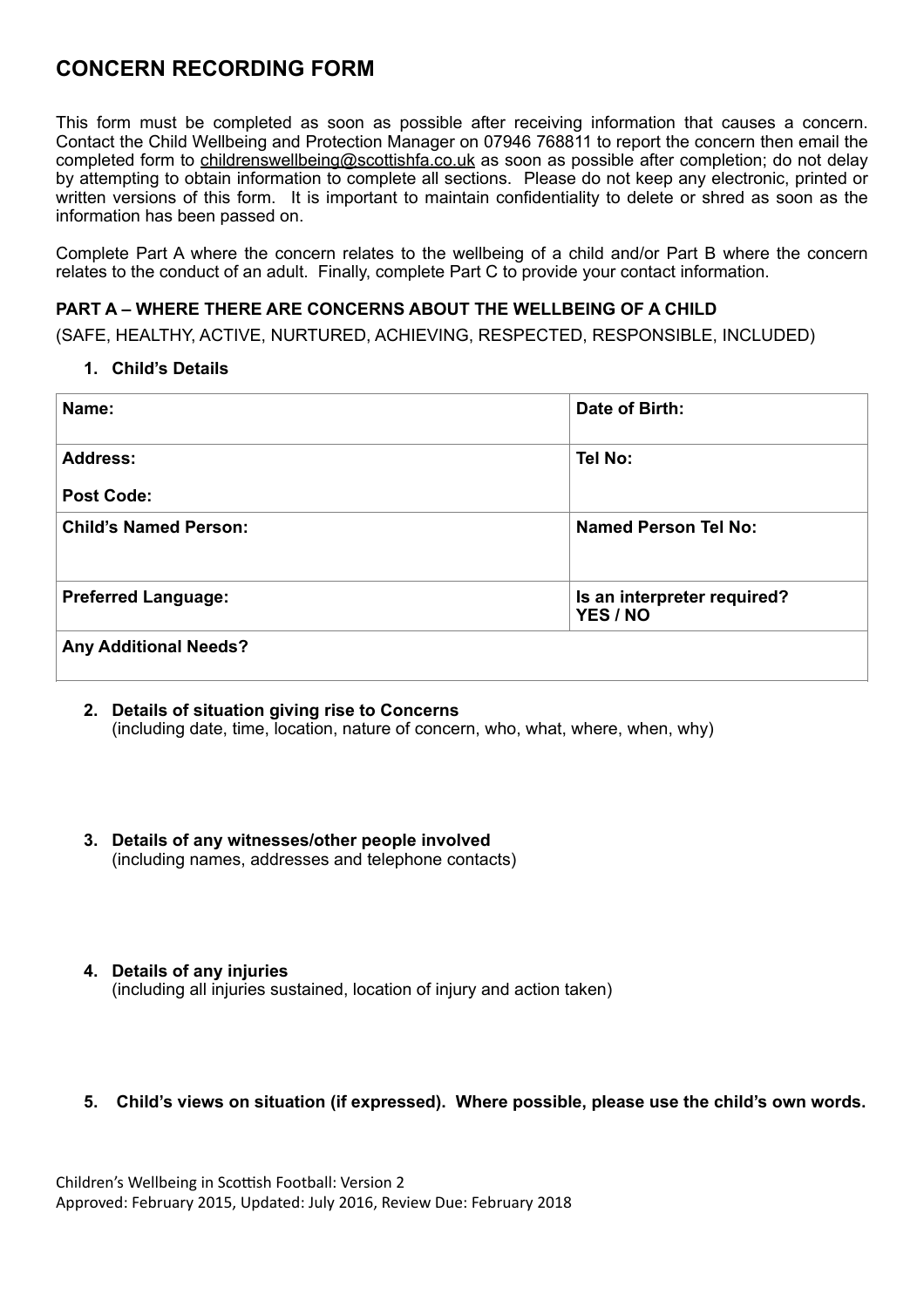# **CONCERN RECORDING FORM**

This form must be completed as soon as possible after receiving information that causes a concern. Contact the Child Wellbeing and Protection Manager on 07946 768811 to report the concern then email the completed form to [childrenswellbeing@scottishfa.co.uk](mailto:childrenswellbeing@scottishfa.co.uk) as soon as possible after completion; do not delay by attempting to obtain information to complete all sections. Please do not keep any electronic, printed or written versions of this form. It is important to maintain confidentiality to delete or shred as soon as the information has been passed on.

Complete Part A where the concern relates to the wellbeing of a child and/or Part B where the concern relates to the conduct of an adult. Finally, complete Part C to provide your contact information.

## **PART A – WHERE THERE ARE CONCERNS ABOUT THE WELLBEING OF A CHILD**

(SAFE, HEALTHY, ACTIVE, NURTURED, ACHIEVING, RESPECTED, RESPONSIBLE, INCLUDED)

#### **1. Child's Details**

| Name:                        | Date of Birth:                          |
|------------------------------|-----------------------------------------|
| Address:                     | Tel No:                                 |
| <b>Post Code:</b>            |                                         |
| <b>Child's Named Person:</b> | <b>Named Person Tel No:</b>             |
| <b>Preferred Language:</b>   | Is an interpreter required?<br>YES / NO |
| <b>Any Additional Needs?</b> |                                         |

- **2. Details of situation giving rise to Concerns**  (including date, time, location, nature of concern, who, what, where, when, why)
- **3. Details of any witnesses/other people involved**  (including names, addresses and telephone contacts)
- **4. Details of any injuries**  (including all injuries sustained, location of injury and action taken)

## **5. Child's views on situation (if expressed). Where possible, please use the child's own words.**

Children's Wellbeing in Scottish Football: Version 2 Approved: February 2015, Updated: July 2016, Review Due: February 2018